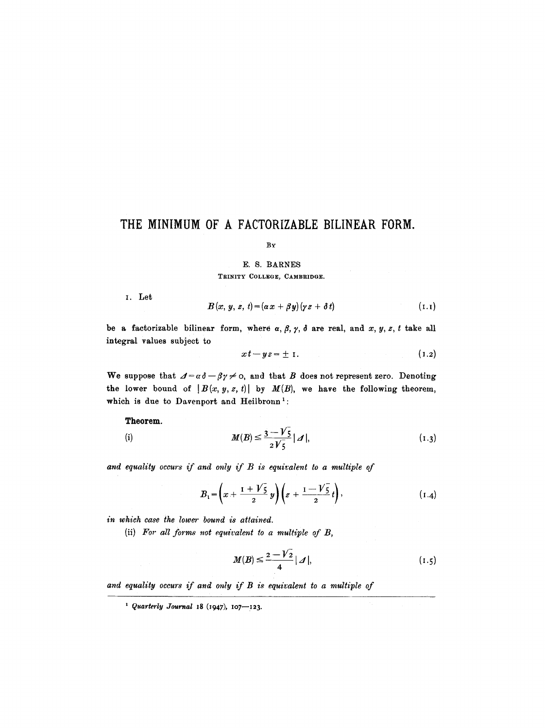# **THE MINIMUM OF A FACTORIZABLE BILINEAR FORM.**

BY

### E. S. BARNES TRINITY COLLEGE, CAMBRIDGE.

I. Let

$$
B(x, y, z, t) = (\alpha x + \beta y)(\gamma z + \delta t) \tag{1.1}
$$

be a factorizable bilinear form, where  $\alpha$ ,  $\beta$ ,  $\gamma$ ,  $\delta$  are real, and x, y, z, t take all integral values subject to

$$
xt - yz = \pm 1. \tag{1.2}
$$

We suppose that  $\Delta = \alpha \delta - \beta \gamma \neq 0$ , and that B does not represent zero. Denoting the lower bound of  $|B(x, y, z, t)|$  by  $M(B)$ , we have the following theorem, which is due to Davenport and Heilbronn<sup>1</sup>:

**Theorem.** 

(i) 
$$
M(B) \le \frac{3 - \sqrt{5}}{2\sqrt{5}} |\mathcal{A}|,
$$
 (1.3)

*and equality occurs if and only if B is equivalent to a multiple of* 

$$
B_1 = \left(x + \frac{1 + \sqrt{5}}{2}y\right)\left(z + \frac{1 - \sqrt{5}}{2}t\right),\tag{I.4}
$$

*in which ease the lower bound is attained.* 

(ii) *For all forms not equivalent to a multiple of B,* 

$$
M(B) \le \frac{2 - \sqrt{2}}{4} \mid \mathcal{A} \mid,\tag{1.5}
$$

*and equality occurs if and only if B is equivalent to a multiple of* 

 $^{1}$  Quarterly Journal 18 (1947), 107-123.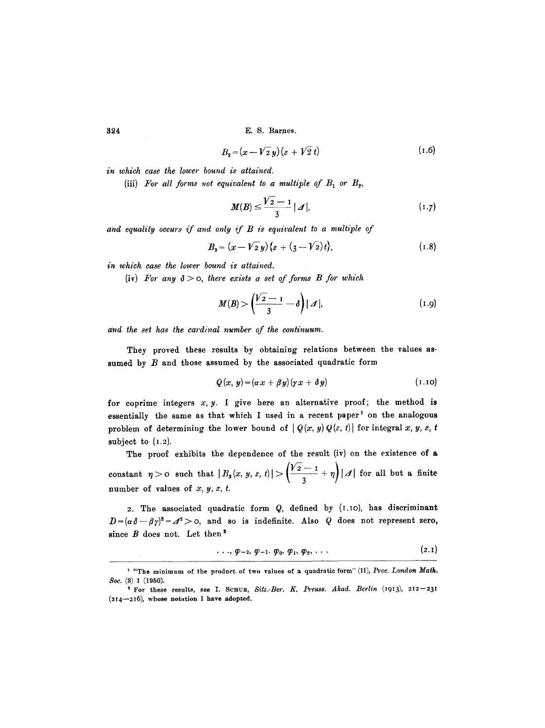$$
B_2 = (x - \sqrt{2} y)(z + \sqrt{2} t) \tag{1.6}
$$

*in which case the lower bound is attained.* 

(iii) For all forms not equivalent to a multiple of  $B_1$  or  $B_2$ ,

$$
M(B) \le \frac{\sqrt{2}-1}{3} |A|, \tag{1.7}
$$

*and equality occurs if and only if B is equivalent to a multiple of* 

$$
B_3 = (x - \sqrt{2}y)\{z + (3 - \sqrt{2})t\},\tag{1.8}
$$

*in which ease the lower bound is attained.* 

 $(iv)$  *For any*  $\delta > 0$ *, there exists a set of forms B for which* 

$$
M(B) > \left(\frac{\sqrt{2}-1}{3} - \delta\right)|\mathcal{A}|,\tag{1.9}
$$

*and the set has the cardinal number of the continuum.* 

They proved these results by obtaining relations between the values assumed by  $B$  and those assumed by the associated quadratic form

$$
Q(x, y) = (\alpha x + \beta y)(\gamma x + \delta y) \tag{1.10}
$$

for coprime integers  $x, y$ . I give here an alternative proof; the method is essentially the same as that which I used in a recent paper<sup>1</sup> on the analogous problem of determining the lower bound of  $|Q(x, y)Q(z, t)|$  for integral x, y, z, t subject to  $(1.2)$ .

The proof exhibits the dependence of the result (iv) on the existence of a constant  $|\eta| > 0$  such that  $|B_s(x, y, z, t)| > \left|\frac{y_2 - 1}{s_1} + \eta\right| |\mathcal{A}|$  for all but a finite  $\sqrt{3}$ number of values of  $x, y, z, t$ .

2. The associated quadratic form Q, defined by (I.tO), has discriminant  $D = (\alpha \delta - \beta \gamma)^2 = \mathcal{J}^2 > 0$ , and so is indefinite. Also Q does not represent zero, since  $B$  does not. Let then<sup>2</sup>

$$
\ldots, \varphi_{-2}, \varphi_{-1}, \varphi_0, \varphi_1, \varphi_2, \ldots \qquad (2.1)
$$

<sup>&</sup>lt;sup>1</sup> "The minimum of the product of two values of a quadratic form" (II), *Proc. London Math. 8oe.* (a) 1 (1950).

<sup>&</sup>lt;sup>2</sup> For these results, see I. SCHUR, Sitz.-Ber. K. Preuss. Akad. Berlin (1913), 212-231 (214--216), whose notation 1 have adopted.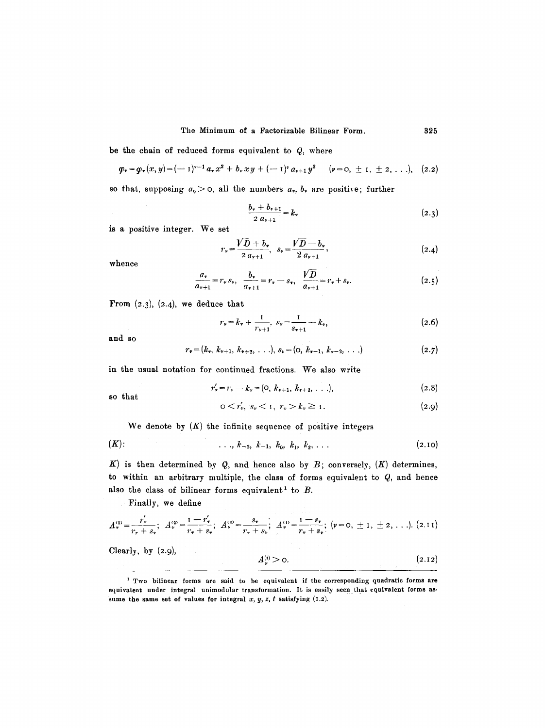be the chain of reduced forms equivalent to  $Q$ , where

$$
\boldsymbol{\varphi}_{\boldsymbol{v}} = \boldsymbol{\varphi}_{\boldsymbol{v}}(x, y) = (-1)^{\nu-1} a_{\boldsymbol{v}} x^2 + b_{\boldsymbol{v}} x y + (-1)^{\nu} a_{\nu+1} y^2 \qquad (\nu = 0, \pm 1, \pm 2, \ldots), \quad (2.2)
$$

so that, supposing  $a_0 > 0$ , all the numbers  $a_v$ ,  $b_v$  are positive; further

$$
\frac{b_{\nu} + b_{\nu+1}}{2 a_{\nu+1}} = k_{\nu} \tag{2.3}
$$

is a positive integer. We set

$$
r_{\nu} = \frac{V\bar{D} + b_{\nu}}{2 a_{\nu+1}}, \quad s_{\nu} = \frac{V\bar{D} - b_{\nu}}{2 a_{\nu+1}}, \tag{2.4}
$$

whence

$$
\frac{a_v}{a_{v+1}} = r_v s_v, \quad \frac{b_v}{a_{v+1}} = r_v - s_v, \quad \frac{VD}{a_{v+1}} = r_v + s_v.
$$
 (2.5)

From  $(2.3)$ ,  $(2.4)$ , we deduce that

$$
r_v = k_v + \frac{1}{r_{v+1}}, \ \varepsilon_v = \frac{1}{s_{v+1}} - k_v, \tag{2.6}
$$

and so

$$
r_{v}=(k_{v}, k_{v+1}, k_{v+2}, \ldots), s_{v}=(0, k_{v-1}, k_{v-2}, \ldots)
$$
\n(2.7)

in the usual notation for continued fractions. We also write

$$
r'_{v} = r_{v} - k_{v} = (0, k_{v+1}, k_{v+2}, \ldots), \qquad (2.8)
$$

so that

$$
0 < r'_*, \ s_v < 1, \ r_v > k_v \ge 1. \tag{2.9}
$$

We denote by  $(K)$  the infinite sequence of positive integers

(K): ..., k-2, k-l, k0, ]cl, ~'2 .... (2.I0)

K) is then determined by Q, and hence also by B; conversely,  $(K)$  determines, to within an arbitrary multiple, the class of forms equivalent to  $Q$ , and hence also the class of bilinear forms equivalent<sup>1</sup> to  $B$ .

Finally, we define

$$
A_{\nu}^{(1)} = \frac{r_{\nu}'}{r_{r} + s_{\nu}}; \quad A_{\nu}^{(2)} = \frac{1 - r_{\nu}'}{r_{\nu} + s_{\nu}}; \quad A_{\nu}^{(3)} = \frac{s_{\nu}}{r_{\nu} + s_{\nu}}; \quad A_{\nu}^{(4)} = \frac{1 - s_{\nu}}{r_{\nu} + s_{\nu}}; \quad (\nu = 0, \pm 1, \pm 2, \ldots). \tag{2.11}
$$

Clearly, by (2.9),

$$
A_{\nu}^{(i)} > 0. \tag{2.12}
$$

i Two bilinear forms are said to be equivalent if the corresponding quadratic forms **are**  equivalent under integral unimodular transformation. It is easily seen that equivalent forms assume the same set of values for integral  $x, y, z, t$  satisfying (I.2).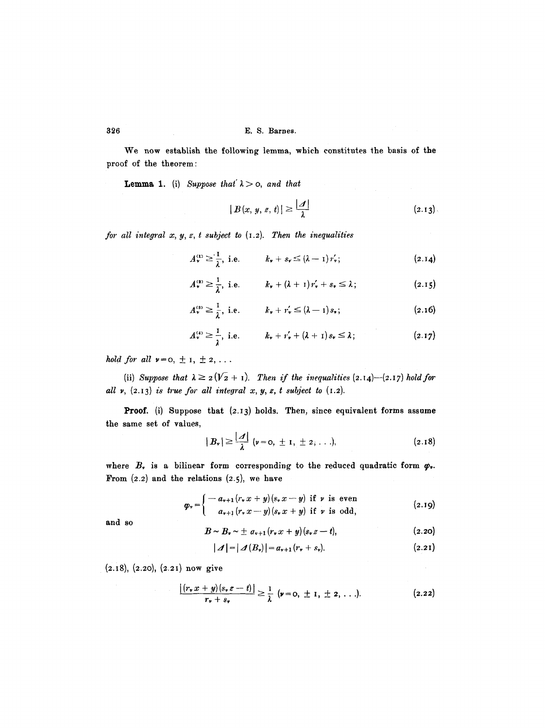We now establish the following lemma, which constitutes the basis of the proof of the theorem:

**Lemma 1.** (i) *Suppose that*  $\lambda > 0$ *, and that* 

$$
|B(x, y, z, t)| \geq \frac{|\mathcal{A}|}{\lambda} \tag{2.13}
$$

*for all integral x, y, z, t subject to* (I.2). *Then the inequalities* 

$$
A_{\nu}^{(1)} \geq \frac{1}{\lambda}, \text{ i.e.} \qquad k_{\nu} + s_{\nu} \leq (\lambda - 1) r_{\nu}'; \qquad (2.14)
$$

$$
A_{\nu}^{(2)} \geq \frac{1}{\lambda}, \text{ i.e.} \qquad k_{\nu} + (\lambda + 1) r_{\nu}^{\prime} + s_{\nu} \leq \lambda; \qquad (2.15)
$$

$$
A_{\nu}^{(s)} \geq \frac{1}{\lambda}, \text{ i.e.} \qquad k_{\nu} + r_{\nu}' \leq (\lambda - 1) s_{\nu}; \qquad (2.16)
$$

$$
A_{\nu}^{(4)} \geq \frac{1}{\lambda}, \text{ i.e.} \qquad k_{\nu} + r_{\nu}^{\prime} + (\lambda + 1) s_{\nu} \leq \lambda; \qquad (2.17)
$$

*hold for all*  $v = 0, \pm 1, \pm 2, \ldots$ 

(ii) Suppose that  $\lambda \geq 2(V_2 + 1)$ . Then if the inequalities  $(2.14)$ - $(2.17)$  hold for all  $v$ ,  $(2.13)$  *is true for all integral x, y, z, t subject to*  $(1.2)$ .

Proof. (i) Suppose that (2.13) holds. Then, since equivalent forms assume the same set of values,

$$
|B_{\nu}| \geq \frac{|A|}{\lambda} \quad (\nu = 0, \pm 1, \pm 2, \ldots), \tag{2.18}
$$

where  $B_r$  is a bilinear form corresponding to the reduced quadratic form  $\varphi_r$ . From  $(2.2)$  and the relations  $(2.5)$ , we have

$$
\varphi_r = \begin{cases}\n-a_{r+1}(r, x+y)(s, x-y) & \text{if } r \text{ is even} \\
a_{r+1}(r, x-y)(s, x+y) & \text{if } r \text{ is odd,}\n\end{cases}
$$
\n(2.19)

and so

$$
B \sim B_{\nu} \sim \pm a_{\nu+1} (r_{\nu} x + y) (s_{\nu} z - t), \qquad (2.20)
$$

$$
|\mathbf{A}| = |\mathbf{A}(B_{\nu})| = a_{\nu+1}(r_{\nu} + s_{\nu}). \qquad (2.21)
$$

(2.I8), (2.20), (2.2I) now give

$$
\frac{\left|\left(r_{\nu}x+y\right)\left(s_{\nu}z-t\right)\right|}{r_{\nu}+s_{\nu}}\geq\frac{1}{\lambda}\;\left(\nu=0,\;\pm\;1,\;\pm\;2,\;\ldots\right).
$$
 (2.22)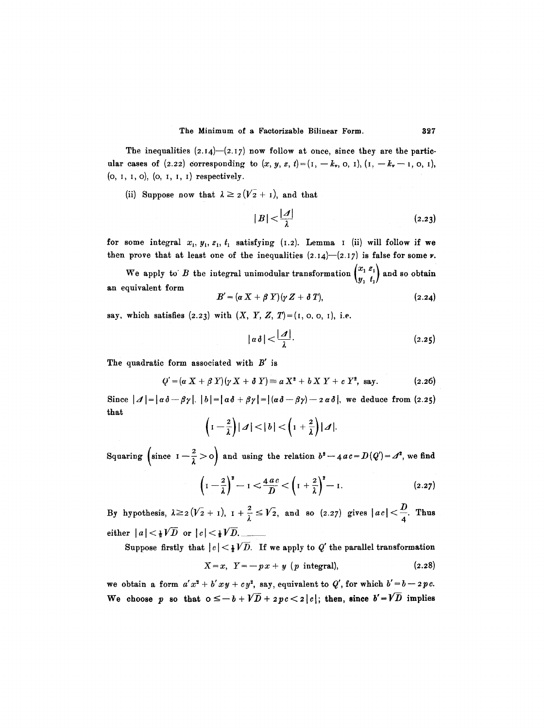The inequalities  $(2.14)$ - $(2.17)$  now follow at once, since they are the particular cases of (2.22) corresponding to  $(x, y, z, t) = (1, -k_*, 0, 1), (1, -k_*-1, 0, 1),$ (o, I, I, o), (o, I, I, I) respectively.

(ii) Suppose now that  $\lambda \geq 2(V_2 + I)$ , and that

$$
|B| < \frac{|A|}{\lambda} \tag{2.23}
$$

for some integral  $x_1, y_1, z_1, t_1$  satisfying (1.2). Lemma I (ii) will follow if we then prove that at least one of the inequalities  $(2.14)-(2.17)$  is false for some  $\nu$ .

We apply to *B* the integral unimodular transformation  $\begin{pmatrix} x_1 & z_1 \\ y_1 & t_1 \end{pmatrix}$  and so obtain an equivalent form

$$
B' = (\alpha X + \beta Y)(\gamma Z + \delta T), \qquad (2.24)
$$

say, which satisfies  $(2.23)$  with  $(X, Y, Z, T) = (1, 0, 0, 1),$  i.e.

$$
|\alpha\delta| < \frac{|\mathcal{A}|}{\lambda}.
$$
 (2.25)

The quadratic form associated with  $B'$  is

$$
Q' = (\alpha X + \beta Y)(\gamma X + \delta Y) \equiv a X^2 + b X Y + c Y^2, \text{ say.} \qquad (2.26)
$$

Since  $|A|=|\alpha\delta-\beta\gamma|$ .  $|b|=|\alpha\delta+\beta\gamma|=|(\alpha\delta-\beta\gamma)-2\alpha\delta|$ , we deduce from (2.25) that

$$
\left(1-\frac{2}{\lambda}\right)|\mathcal{A}|<|b|<\left(1+\frac{2}{\lambda}\right)|\mathcal{A}|.
$$

Squaring  $\left(\text{since } I - \frac{2}{\lambda} > 0\right)$  and using the relation  $b^2 - 4ac = D(Q') = A^2$ , we find

$$
\left(1-\frac{2}{\lambda}\right)^2 - 1 < \frac{4ac}{D} < \left(1+\frac{2}{\lambda}\right)^2 - 1. \tag{2.27}
$$

By hypothesis,  $\lambda \geq 2(\overline{V_2} + 1)$ ,  $I + \frac{2}{\lambda} \leq \overline{V_2}$ , and so (2.27) gives  $|ac| < \frac{2}{4}$ . Thus either  $|a| < \frac{1}{2}V\overline{D}$  or  $|c| < \frac{1}{2}V\overline{D}$ .

Suppose firstly that  $|c| < \frac{1}{2}V\overline{D}$ . If we apply to Q' the parallel transformation

$$
X = x, \quad Y = -px + y \quad (p \quad integral), \tag{2.28}
$$

we obtain a form  $a'x^2 + b'xy + cy^2$ , say, equivalent to  $Q'$ , for which  $b' = b - 2pc$ . We choose p so that  $0 \leq -b + \sqrt{D} + 2pc < 2 |c|$ ; then, since  $b' = \sqrt{D}$  implies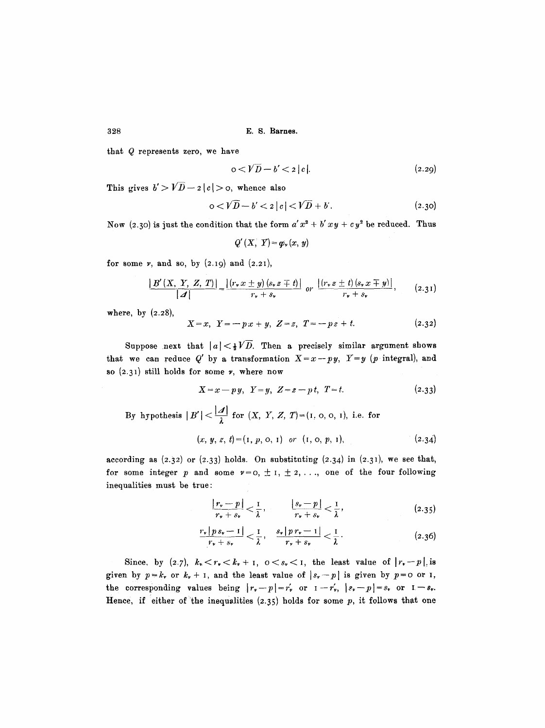328 **E. 8. Barnes.** 

that Q represents zero, we have

$$
0 < V\overline{D} - b' < 2|c|.
$$
\n
$$
(2.29)
$$

This gives  $b' > V\overline{D}-z$   $|c| >$  0, whence also

$$
0 < V\overline{D} - b' < 2|c| < V\overline{D} + b'.
$$
 (2.30)

Now (2.30) is just the condition that the form  $a'x^2 + b'xy + cy^2$  be reduced. Thus

$$
Q'(X, Y) = \varphi_{\nu}(x, y)
$$

for some  $\nu$ , and so, by  $(2.19)$  and  $(2.21)$ ,

$$
\frac{|B'(X, Y, Z, T)|}{|A|} = \frac{|(r_* x \pm y)(s_* z \mp t)|}{r_* + s_*} \text{ or } \frac{|(r_* z \pm t)(s_* x \mp y)|}{r_* + s_*}, \qquad (2.31)
$$

where, by  $(2.28)$ ,

$$
X = x, \ \ Y = -p \cdot x + y, \ \ Z = z, \ \ T = -p \cdot z + t. \tag{2.32}
$$

Suppose next that  $|a| < \frac{1}{2}V\overline{D}$ . Then a precisely similar argument shows that we can reduce Q' by a transformation  $X=x-py$ ,  $Y=y$  (p integral), and so  $(2.31)$  still holds for some  $\nu$ , where now

$$
X = x - py, \ \ Y = y, \ \ Z = z - pt, \ \ T = t. \tag{2.33}
$$

By hypothesis  $|B'|<\frac{|A|}{\lambda}$  for  $(X, Y, Z, T)=(1, 0, 0, 1)$ , i.e. for  $(x, y, z, t) = (1, p, o, 1)$  or  $(1, o, p, 1),$  (2.34)

according as  $(2.32)$  or  $(2.33)$  holds. On substituting  $(2.34)$  in  $(2.31)$ , we see that, for some integer p and some  $v=0, \pm 1, \pm 2,...$ , one of the four following inequalities must be true:

$$
\frac{|r_v - p|}{r_v + s_v} < \frac{1}{\lambda}, \qquad \frac{|s_v - p|}{r_v + s_v} < \frac{1}{\lambda}, \tag{2.35}
$$

$$
\frac{r_{\ast}\left|p s_{\ast}-1\right|}{r_{\ast}+s_{\ast}}<\frac{1}{\lambda},\quad\frac{s_{\ast}\left|p r_{\ast}-1\right|}{r_{\ast}+s_{\ast}}<\frac{1}{\lambda}.
$$
\n
$$
(2.36)
$$

Since, by (2.7),  $k_* < r_* < k_* + 1$ ,  $0 < s_* < 1$ , the least value of  $|r_* - p|$  is given by  $p=k_r$  or  $k_r+1$ , and the least value of  $|s_r-p|$  is given by  $p=0$  or I, the corresponding values being  $|r_r-p|=r'_r$  or  $I-r'_r$ ,  $|s_r-p|=s_r$  or  $I-s_r$ . Hence, if either of the inequalities  $(2.35)$  holds for some p, it follows that one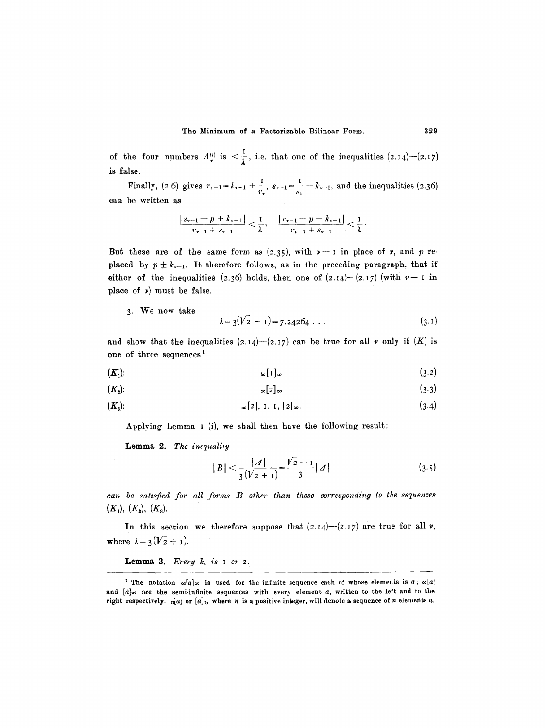of the four numbers  $A_{\nu}^{(i)}$  is  $\langle \frac{1}{\lambda}, i$ .e. that one of the inequalities (2.14)--(2.17) is false.

Finally, (2.6) gives  $r_{r-1} = k_{r-1} + \frac{1}{r_r}$ ,  $s_{r-1} = \frac{1}{s_r} - k_{r-1}$ , and the inequalities (2.36) can be written as

$$
\frac{|s_{\nu-1}-p+k_{\nu-1}|}{r_{\nu-1}+s_{\nu-1}} < \frac{1}{\lambda}, \quad \frac{|r_{\nu-1}-p-k_{\nu-1}|}{r_{\nu-1}+s_{\nu-1}} < \frac{1}{\lambda}.
$$

But these are of the same form as  $(2.35)$ , with  $\nu - 1$  in place of  $\nu$ , and  $p$  replaced by  $p \pm k_{r-1}$ . It therefore follows, as in the preceding paragraph, that if either of the inequalities (2.36) holds, then one of  $(2.14)-(2.17)$  (with  $\nu-1$  in place of  $\nu$ ) must be false.

3. We now take

$$
\lambda = 3(V_2 + 1) = 7.24264 \ldots \tag{3.1}
$$

and show that the inequalities  $(2.14)$ - $(2.17)$  can be true for all  $\nu$  only if  $(K)$  is one of three sequences<sup>1</sup>

$$
(\boldsymbol{K}_1): \qquad \qquad \text{so} \text{[1]}_{\infty} \qquad \qquad (3.2)
$$

$$
(\boldsymbol{K_2})\tag{3.3}
$$

$$
(\mathbf{K}_3): \qquad \qquad \infty[2], \ \mathbf{I}, \ \mathbf{I}, \ [2]_{\infty}.\tag{3.4}
$$

Applying Lemma I (i), we shall then have the following result:

**Lemma 2.** *The inequality* 

$$
|B| < \frac{|A|}{3(V_{2}+1)} = \frac{V_{2}-1}{3} |A| \tag{3.5}
$$

*can be satisfied for all forms B other than those correspouding to the sequences*   $(K_1), (K_2), (K_3).$ 

In this section we therefore suppose that  $(2.14)$ - $(2.17)$  are true for all v, where  $\lambda = 3(V_2 + 1)$ .

Lemma 3. *Every k, is I or 2.* 

<sup>&</sup>lt;sup>1</sup> The notation  $\infty[a]_{\infty}$  is used for the infinite sequence each of whose elements is  $\alpha$ ;  $\infty[a]$ and  $[a]_{\infty}$  are the semi-infinite sequences with every element a, written to the left and to the right respectively.  $u[u]$  or  $[a]_n$ , where n is a positive integer, will denote a sequence of n elements a.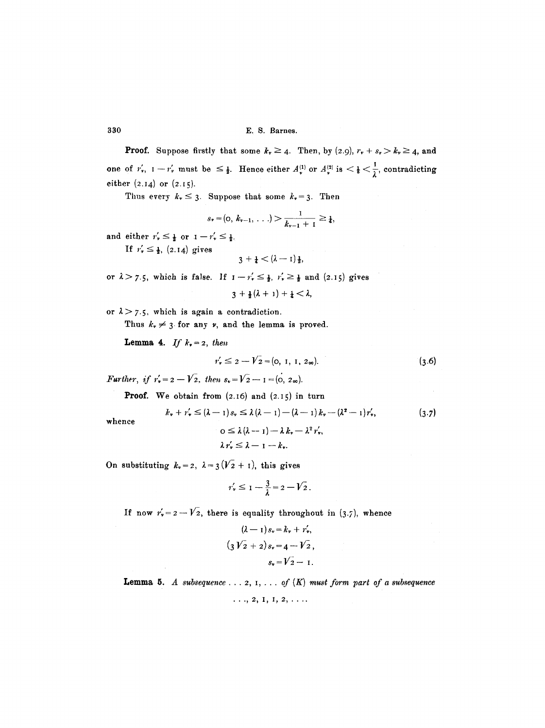**Proof.** Suppose firstly that some  $k_r \geq 4$ . Then, by (2.9),  $r_r + s_r > k_r \geq 4$ , and one of  $r'_r$ ,  $1-r'_r$  must be  $\leq \frac{1}{2}$ . Hence either  $A_r^{(1)}$  or  $A_r^{(2)}$  is  $\lt \frac{1}{8} \lt \frac{1}{\lambda}$ , contradicting either (2.I4) or (2.t5).

Thus every  $k_{\nu} \leq 3$ . Suppose that some  $k_{\nu} = 3$ . Then

$$
s_{\nu} = (0, k_{\nu-1}, \ldots) > \frac{1}{k_{\nu-1}+1} \geq \frac{1}{4},
$$

and either  $r'_* \leq \frac{1}{2}$  or  $1-r'_* \leq \frac{1}{2}$ .

If  $r'_* \leq \frac{1}{2}$ , (2.14) gives

$$
3+\frac{1}{4}<(\lambda-1)\frac{1}{2},
$$

or  $\lambda > \gamma$ .5, which is false. If  $I - r'_{\nu} \leq \frac{1}{2}$ ,  $r'_{\nu} \geq \frac{1}{2}$  and (2.15) gives

$$
3+\tfrac{1}{2}(\lambda+1)+\tfrac{1}{4}<\lambda
$$

or  $\lambda > 7.5$ , which is again a contradiction.

Thus  $k_v \neq 3$  for any  $\nu$ , and the lemma is proved.

**Lemma 4.** If  $k_r = 2$ , then

$$
r'_{\nu} \leq 2 - V_2 = (0, 1, 1, 2\omega). \tag{3.6}
$$

*Further, if*  $r'_r = 2 - V_2$ *, then*  $s_r = V_2 - I = (0, 2\infty)$ .

**Proof.** We obtain from  $(2.16)$  and  $(2.15)$  in turn

$$
k_{\nu} + r_{\nu}' \leq (\lambda - 1)s_{\nu} \leq \lambda (\lambda - 1) - (\lambda - 1)k_{\nu} - (\lambda^{2} - 1)r_{\nu}', \qquad (3.7)
$$

$$
0 \leq \lambda (\lambda - 1) - \lambda k_{\nu} - \lambda^{2} r_{\nu}',
$$

whence

$$
0 \leq \lambda (\lambda - 1) - \lambda k_{\nu} - \lambda^2 r,
$$
  

$$
\lambda r_{\nu} \leq \lambda - 1 - k_{\nu}.
$$

On substituting  $k_v = 2$ ,  $\lambda = 3(\sqrt{2} + 1)$ , this gives

$$
r'_\nu \leq 1 - \frac{3}{\lambda} = 2 - \sqrt{2} \, .
$$

If now  $r'_{\nu}= 2-V_2$ , there is equality throughout in (3.7), whence

$$
(\lambda - 1) s_r = k_r + r'_r,
$$
  
\n
$$
(3 V_2 + 2) s_r = 4 - V_2,
$$
  
\n
$$
s_r = V_2 - 1.
$$

**Lemma 5.** A subsequence  $\ldots$  2, 1,  $\ldots$  of  $(K)$  must form part of a subsequence

 $\ldots$ , 2, 1, 1, 2,  $\ldots$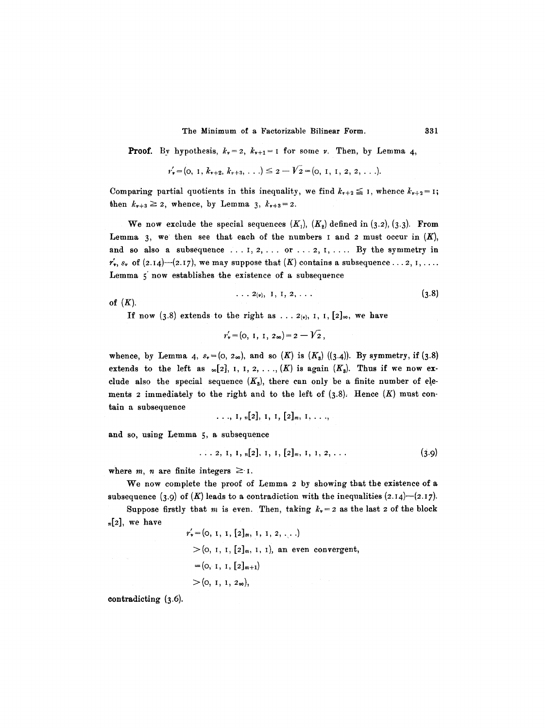The Minimum of a Factorizable Bilinear Form. 331

**Proof.** By hypothesis,  $k_v = 2$ ,  $k_{v+1} = 1$  for some v. Then, by Lemma 4,

$$
r'_v = (0, 1, k_{v+2}, k_{v+3}, \ldots) \leq 2 - V_2 = (0, 1, 1, 2, 2, \ldots).
$$

Comparing partial quotients in this inequality, we find  $k_{r+2} \leq 1$ , whence  $k_{r+2} = 1$ ; then  $k_{r+3} \geq 2$ , whence, by Lemma 3,  $k_{r+3} = 2$ .

We now exclude the special sequences  $(K_1)$ ,  $(K_2)$  defined in (3.2), (3.3). From Lemma 3, we then see that each of the numbers I and 2 must occur in  $(K)$ , and so also a subsequence ... 1,2,... or ...2, I,.... By the symmetry **in**   $r'_*, s_*$  of  $(2.14)$ - $(2.17)$ , we may suppose that  $(K)$  contains a subsequence... 2, 1, ... Lemma 5 now establishes the existence of a subsequence

$$
\ldots \; 2_{(v)}, \; 1, \; 1, \; 2, \; \ldots \qquad (3.8)
$$

of  $(K)$ .

If now (3.8) extends to the right as ...  $2(y)$ , I, I,  $[2]_{\infty}$ , we have

$$
r'_{\nu} = (0, 1, 1, 2\omega) = 2 - \sqrt{2},
$$

whence, by Lemma 4,  $s_v = (0, 2\infty)$ , and so  $(K)$  is  $(K_s)$   $((3.4))$ . By symmetry, if  $(3.8)$ extends to the left as  $_{\infty}[2]$ , I, I, 2, ...,  $(K)$  is again  $(K_{s})$ . Thus if we now exclude also the special sequence  $(K_3)$ , there can only be a finite number of elements 2 immediately to the right and to the left of  $(3.8)$ . Hence  $(K)$  must contain a subsequenee

$$
\ldots, 1, n[2], 1, 1, [2]_m, 1, \ldots,
$$

i za Zi

and so, using Lemma 5, a subsequence

$$
\ldots 2, 1, 1, n[2], 1, 1, [2]_m, 1, 1, 2, \ldots \qquad (3.9)
$$

where m, n are finite integers  $\geq 1$ .

We now complete the proof of Lemma 2 by showing that the existence of a subsequence (3.9) of  $(K)$  leads to a contradiction with the inequalities (2.14)--(2.17).

Suppose firstly that m is even. Then, taking  $k_r = 2$  as the last 2 of the block  $_{n}[2]$ , we have

$$
r'_{\nu} = (0, 1, 1, [2]_m, 1, 1, 2, ...)
$$
  
> (0, 1, 1, [2]\_m, 1, 1), an even convergent,  
= (0, 1, 1, [2]\_{m+1})  
> (0, 1, 1, 2<sub>\infty</sub>),

contradicting (3.6).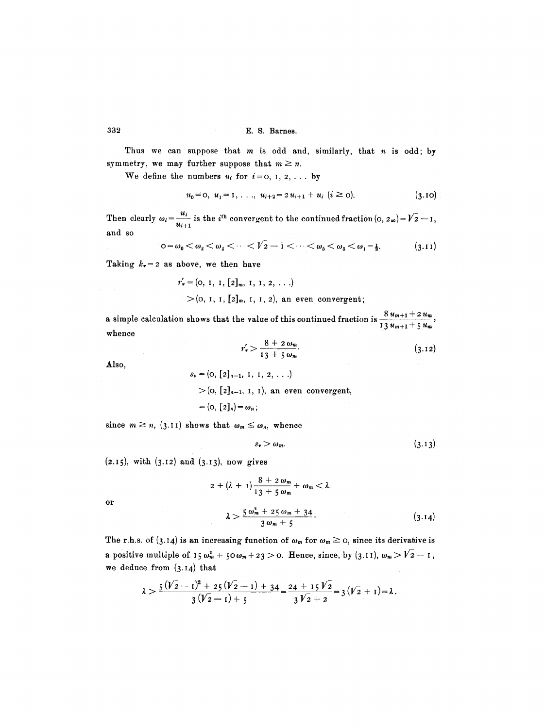Thus we can suppose that  $m$  is odd and, similarly, that  $n$  is odd; by symmetry, we may further suppose that  $m \geq n$ .

We define the numbers  $u_i$  for  $i=0, 1, 2, \ldots$  by

$$
u_0 = 0, \ u_1 = 1, \ldots, \ u_{i+2} = 2 \, u_{i+1} + u_i \ (i \geq 0). \tag{3.10}
$$

Then clearly  $\omega_i = \frac{u_i}{u_{i+1}}$  is the *i*<sup>th</sup> convergent to the continued fraction  $(0, 2\infty) = V^2 - 1$ , and so

$$
0 = \omega_0 < \omega_3 < \omega_4 < \cdots < \sqrt{2} - 1 < \cdots < \omega_5 < \omega_3 < \omega_1 = \frac{1}{2}.\tag{3.11}
$$

Taking  $k_v = 2$  as above, we then have

$$
r'_v = (0, 1, 1, [2]_m, 1, 1, 2, ...)
$$
  
>  $(0, 1, 1, [2]_m, 1, 1, 2)$ , an even convergent;

a simple calculation shows that the value of this continued fraction is  $\frac{8 u_{m+1} + 2 u_m}{2}$ whence **13**  $u_{m+1}$  + 5  $u_m$ 

$$
r'_v > \frac{8 + 2 \omega_m}{13 + 5 \omega_m}.\tag{3.12}
$$

**Also,** 

 $s_{\nu} = (0, [2]_{\nu-1}, 1, 1, 2, \ldots)$  $>(0, [2]_{n-1}, 1, 1)$ , an even convergent,  $= (0, [2]_n) = \omega_n;$ 

since  $m \ge n$ , (3.11) shows that  $\omega_m \le \omega_n$ , whence

$$
s_{\nu} > \omega_m. \tag{3.13}
$$

 $(2.15)$ , with  $(3.12)$  and  $(3.13)$ , now gives

$$
2 + (\lambda + 1) \frac{8 + 2 \omega_m}{13 + 5 \omega_m} + \omega_m < \lambda.
$$
  

$$
\lambda > \frac{5 \omega_m^2 + 25 \omega_m + 34}{3 \omega_m + 5}.
$$
 (3.14)

or

The r.h.s. of (3.14) is an increasing function of 
$$
\omega_m
$$
 for  $\omega_m \ge 0$ , since its derivative is  
a positive multiple of  $15 \omega_m^2 + 50 \omega_m + 23 > 0$ . Hence, since, by (3.11),  $\omega_m > \sqrt{2} - 1$ ,  
we deduce from (3.14) that

$$
\lambda > \frac{5(\sqrt{2}-1)^2+25(\sqrt{2}-1)+34}{3(\sqrt{2}-1)+5} = \frac{24+15\sqrt{2}}{3\sqrt{2}+2} = 3(\sqrt{2}+1) = \lambda.
$$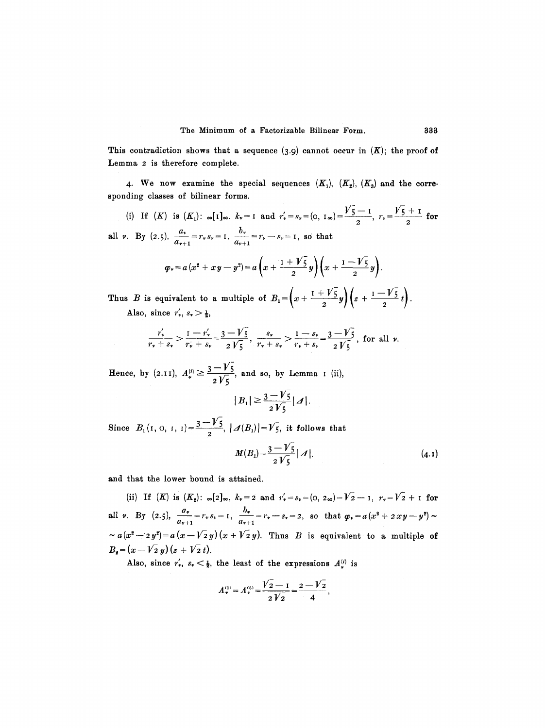This contradiction shows that a sequence  $(3.9)$  cannot occur in  $(K)$ ; the proof of Lemma 2 is therefore complete.

. We now examine the special sequences  $(K_1)$ ,  $(K_2)$ ,  $(K_3)$  and the corresponding classes of bilinear forms.

(i) If  $(K)$  is  $(K_1)$ :  $\infty[1]_{\infty}$ ,  $k_v = 1$  and  $r'_v = s_v = (0, 1_{\infty}) = \frac{\sqrt{5}-1}{2}$ ,  $r_v = \frac{\sqrt{5}+1}{2}$  for all v. By (2.5),  $\frac{dv}{a_{\nu+1}} = r_{\nu} s_{\nu} = 1$ ,  $\frac{dv}{a_{\nu+1}} = r_{\nu} - s_{\nu} = 1$ , so that

$$
\varphi_* = a(x^2 + xy - y^2) = a\left(x + \frac{1 + \sqrt{5}}{2}y\right)\left(x + \frac{1 - \sqrt{5}}{2}y\right).
$$

**!**  Thus B is equivalent to a multiple of  $B_1 = \left(x + \frac{1 + \sqrt{5}}{2}y\right)\left(z + \frac{1 - \sqrt{5}}{2}t\right)$ . Also, since  $r'_v$ ,  $s_v > \frac{1}{2}$ ,

$$
\frac{r'_v}{r_v+s_v} > \frac{1-r'_v}{r_v+s_v} = \frac{3-\sqrt{5}}{2\sqrt{5}}, \quad \frac{s_v}{r_v+s_v} > \frac{1-s_v}{r_v+s_v} = \frac{3-\sqrt{5}}{2\sqrt{5}}, \text{ for all } v.
$$

Hence, by (2.11),  $A_{\nu}^{(i)} \ge \frac{3-\nu_5^2}{2\sqrt{5}}$ , and so, by Lemma I (ii),  $|B_1|\geq \frac{3-V_5}{2V_5}|A|.$ 

Since  $B_1(1, 0, 1, 1) = \frac{3 - V_5}{2}$ ,  $|\mathcal{A}(B_1)| = V_5$ , it follows that

$$
M(B_1) = \frac{3 - V_5}{2 V_5} |A|.
$$
 (4.1)

and that the lower bound is attained.

(ii) If  $(K)$  is  $(K_2)$ :  $\infty[2]_{\infty}$ ,  $k_v=2$  and  $r'_v=s_v=(0, 2\infty)=\overline{V_2}-1$ ,  $r_v=\overline{V_2}+1$  for all v. By (2.5),  $\frac{dy}{a_{r+1}} = r_y s_r = 1$ ,  $\frac{dy}{a_{r+1}} = r_r - s_r = 2$ , so that  $\varphi_r = a(x^2 + 2xy - y^2)$  ~  $\sim a(x^2-zy^2)=a(x-V_2y)(x+V_2y)$ . Thus B is equivalent to a multiple of  $B_2 = (x - \sqrt{2} y)(z + \sqrt{2} t).$ 

Also, since  $r'_r$ ,  $s_r < \frac{1}{2}$ , the least of the expressions  $A_r^{(i)}$  is

$$
A_{\nu}^{(1)} = A_{\nu}^{(3)} = \frac{V_2 - 1}{2V_2} = \frac{2 - V_2}{4},
$$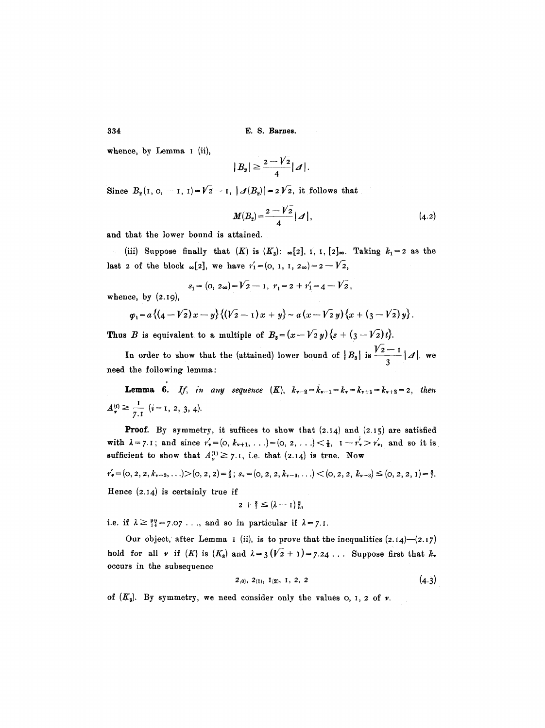whence, by Lemma I (ii),

$$
|B_2|\geq \frac{2-V_2}{4}|A|.
$$

Since  $B_2(1, 0, -1, 1) = V_2 - I$ ,  $|\mathcal{A}(B_2)| = 2V_2$ , it follows that

$$
M(B_2) = \frac{2 - V_2}{4} | \mathcal{A} |, \tag{4.2}
$$

and that the lower bound is attained.

(iii) Suppose finally that  $(K)$  is  $(K_3)$ :  $\infty[2]$ , 1, 1,  $[2]_{\infty}$ . Taking  $k_1=2$  as the last 2 of the block  $_{\infty}[2]$ , we have  $r'_{1}=(0, 1, 1, 2_{\infty})=2-V_{2}$ ,

$$
s_1 = (0, 2\omega) = \sqrt{2} - 1, r_1 = 2 + r_1' = 4 - \sqrt{2},
$$

whence, by  $(2.19)$ ,

$$
\varphi_1 = a\left\{ \left(4-\sqrt{2}\right)x-y\right\} \left\{ \left(\sqrt{2}-1\right)x+y\right\} \sim a\left(x-\sqrt{2}\,y\right)\left\{x+\left(\,3-\sqrt{2}\right)y\right\}.
$$

Thus B is equivalent to a multiple of  $B_3 = (x-\sqrt{2}y)\{z+(3-\sqrt{2})t\}.$ 

In order to show that the (attained) lower bound of  $|B_{s}|$  is  $\frac{1}{\sqrt{2}}$  |, we 3 need the following lemma:

**Lemma 6.** If, in any sequence  $(K)$ ,  $k_{v-2} = k_{v-1} = k_v = k_{v+1} = k_{v+2} = 2$ , then  $A_{\nu}^{(i)} \ge \frac{1}{7.1}$   $(i=1, 2, 3, 4).$ 

**Proof.** By symmetry, it suffices to show that  $(2.14)$  and  $(2.15)$  are satisfied with  $\lambda = 7.1$ ; and since  $r'_{\nu} = (0, k_{\nu+1}, \ldots) = (0, 2, \ldots) < \frac{1}{2}, 1 - r'_{\nu} > r'_{\nu}$ , and so it is sufficient to show that  $A^{(1)}_* \geq 7.1$ , i.e. that (2.14) is true. Now

$$
r'_{\mathbf{v}} = (0, 2, 2, k_{\mathbf{v}}+3, \ldots) > (0, 2, 2) = \frac{2}{9}; s_{\mathbf{v}} = (0, 2, 2, k_{\mathbf{v}}-3, \ldots) < (0, 2, 2, k_{\mathbf{v}}-3) \leq (0, 2, 2, 1) = \frac{3}{7}.
$$

Hence  $(2.14)$  is certainly true if

$$
2 + \frac{3}{7} \leq (\lambda - 1) \frac{2}{5},
$$

i.e. if  $\lambda \geq \frac{99}{14} = 7.07$ ..., and so in particular if  $\lambda = 7.1$ .

Our object, after Lemma I (ii), is to prove that the inequalities  $(2.14)$ - $(2.17)$ hold for all  $\nu$  if  $(K)$  is  $(K_s)$  and  $\lambda = 3(\overline{V_2} + 1) = 7.24$ ... Suppose first that  $k_{\nu}$ occurs in the subsequence

$$
2_{(0)}, 2_{(1)}, 1_{(2)}, 1, 2, 2 \qquad (4.3)
$$

of  $(K_3)$ . By symmetry, we need consider only the values  $\circ$ ,  $\circ$ ,  $\circ$  of  $\nu$ .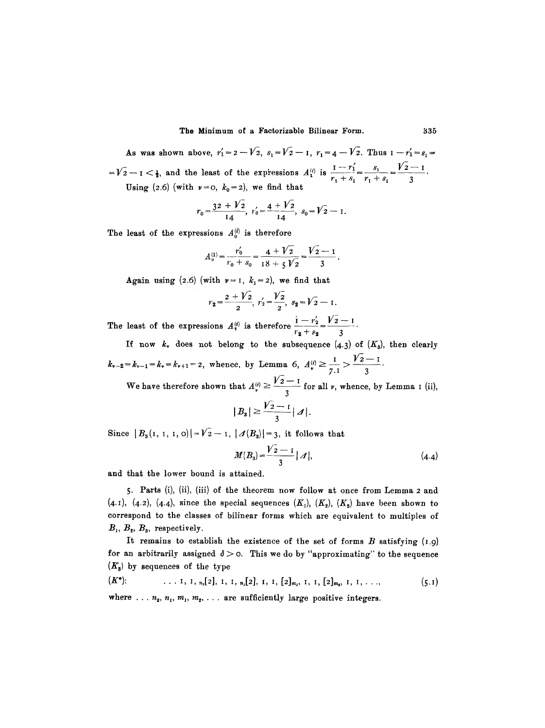As was shown above,  $r_1' = 2 - V_2$ ,  $s_1 = V_2 - I$ ,  $r_1 = 4 - V_2$ . Thus  $I - r_1' = s_1 =$  $1 - V_2 - 1 < \frac{1}{2}$ , and the least of the expressions  $A_1^{(i)}$  is  $\frac{1 - r_1}{r_1 + s_1} = \frac{s_1}{r_1 + s_1} = \frac{V_2 - 1}{3}$ 

Using (2.6) (with  $\nu=0$ ,  $k_0=2$ ), we find that

$$
r_0 = \frac{32 + V_2}{14}, r'_0 = \frac{4 + V_2}{14}, s_0 = V_2 - 1.
$$

The least of the expressions  $A_0^{(i)}$  is therefore

$$
A_0^{(1)} = \frac{r'_0}{r_0 + s_0} = \frac{4 + \sqrt{2}}{18 + 5\sqrt{2}} = \frac{\sqrt{2} - 1}{3}
$$

Again using (2.6) (with  $\nu=1$ ,  $k_1=2$ ), we find that

$$
r_2 = \frac{2 + V_2}{2}, r'_2 = \frac{V_2}{2}, s_2 = V_2 - 1.
$$

The least of the expressions  $A_{i}^{(i)}$  is therefore  $\frac{1-r_{2}}{r_{2}+s_{2}}=\frac{V_{2}-I_{2}}{3}$ 

If now  $k_r$  does not belong to the subsequence  $(4.3)$  of  $(K_8)$ , then clearly  $k_{\nu-2} = k_{\nu-1} = k_{\nu} = k_{\nu+1} = 2$ , whence, by Lemma 6,  $A_{\nu}^{(i)} \ge \frac{1}{7 \cdot 1} > \frac{\nu_2 - 1}{3}$ 

We have therefore shown that  $A^{(i)}_{\nu} \geq \frac{V_2-1}{\nu}$  for all  $\nu$ , whence, by Lemma I (ii), 3

$$
|B_3|\geq \frac{V_2-1}{3}|A|.
$$

Since  $|B_3(I, I, I, 0)|=V_2-I, |A(B_3)|=3$ , it follows that

$$
M(B_3) = \frac{V_2 - 1}{3} |A|, \tag{4.4}
$$

and that the lower bound is attained.

5. Parts (i), (ii), (iii) of the theorem now follow at once from Lemma 2 and (4.1), (4.2), (4.4), since the special sequences  $(K_1)$ ,  $(K_2)$ ,  $(K_3)$  have been shown to correspond to the classes of bilinear forms which are equivalent to multiples of  $B_1, B_2, B_3$ , respectively.

It remains to establish the existence of the set of forms  $B$  satisfying  $(1.9)$ for an arbitrarily assigned  $\delta > 0$ . This we do by "approximating" to the sequence  $(K<sub>s</sub>)$  by sequences of the type

$$
(K^*):
$$
 ... 1, 1,  $n_2[2]$ , 1, 1,  $n_1[2]$ , 1, 1,  $[2]_{m_1}$ , 1, 1,  $[2]_{m_2}$ , 1, 1, ... , \t(5.1)

where ...  $n_2, n_1, m_1, m_2, \ldots$  are sufficiently large positive integers.